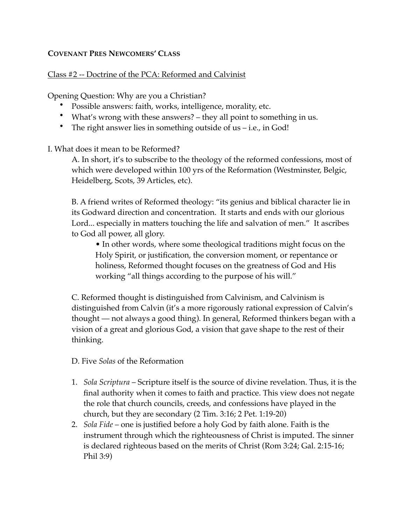## **COVENANT PRES NEWCOMERS' CLASS**

## Class #2 -- Doctrine of the PCA: Reformed and Calvinist

Opening Question: Why are you a Christian?

- Possible answers: faith, works, intelligence, morality, etc.
- What's wrong with these answers? they all point to something in us.
- The right answer lies in something outside of us i.e., in God!
- I. What does it mean to be Reformed?

A. In short, it's to subscribe to the theology of the reformed confessions, most of which were developed within 100 yrs of the Reformation (Westminster, Belgic, Heidelberg, Scots, 39 Articles, etc).

B. A friend writes of Reformed theology: "its genius and biblical character lie in its Godward direction and concentration. It starts and ends with our glorious Lord... especially in matters touching the life and salvation of men." It ascribes to God all power, all glory.

• In other words, where some theological traditions might focus on the Holy Spirit, or justification, the conversion moment, or repentance or holiness, Reformed thought focuses on the greatness of God and His working "all things according to the purpose of his will."

C. Reformed thought is distinguished from Calvinism, and Calvinism is distinguished from Calvin (it's a more rigorously rational expression of Calvin's thought — not always a good thing). In general, Reformed thinkers began with a vision of a great and glorious God, a vision that gave shape to the rest of their thinking.

D. Five *Solas* of the Reformation

- 1. *Sola Scriptura* Scripture itself is the source of divine revelation. Thus, it is the final authority when it comes to faith and practice. This view does not negate the role that church councils, creeds, and confessions have played in the church, but they are secondary (2 Tim. 3:16; 2 Pet. 1:19-20)
- 2. *Sola Fide* one is justified before a holy God by faith alone. Faith is the instrument through which the righteousness of Christ is imputed. The sinner is declared righteous based on the merits of Christ (Rom 3:24; Gal. 2:15-16; Phil 3:9)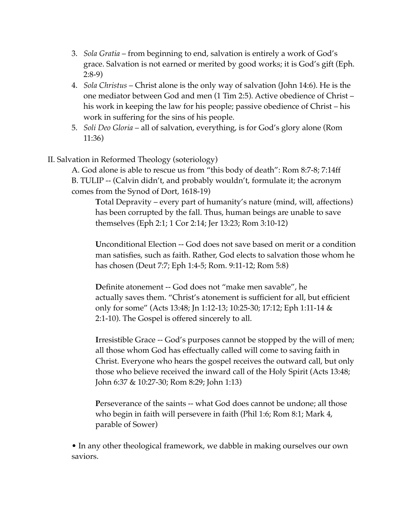- 3. *Sola Gratia* from beginning to end, salvation is entirely a work of God's grace. Salvation is not earned or merited by good works; it is God's gift (Eph. 2:8-9)
- 4. *Sola Christus* Christ alone is the only way of salvation (John 14:6). He is the one mediator between God and men (1 Tim 2:5). Active obedience of Christ – his work in keeping the law for his people; passive obedience of Christ – his work in suffering for the sins of his people.
- 5. *Soli Deo Gloria* all of salvation, everything, is for God's glory alone (Rom 11:36)
- II. Salvation in Reformed Theology (soteriology)

A. God alone is able to rescue us from "this body of death": Rom 8:7-8; 7:14ff B. TULIP -- (Calvin didn't, and probably wouldn't, formulate it; the acronym comes from the Synod of Dort, 1618-19)

**T**otal Depravity – every part of humanity's nature (mind, will, affections) has been corrupted by the fall. Thus, human beings are unable to save themselves (Eph 2:1; 1 Cor 2:14; Jer 13:23; Rom 3:10-12)

**U**nconditional Election -- God does not save based on merit or a condition man satisfies, such as faith. Rather, God elects to salvation those whom he has chosen (Deut 7:7; Eph 1:4-5; Rom. 9:11-12; Rom 5:8)

**D**efinite atonement -- God does not "make men savable", he actually saves them. "Christ's atonement is sufficient for all, but efficient only for some" (Acts 13:48; Jn 1:12-13; 10:25-30; 17:12; Eph 1:11-14 & 2:1-10). The Gospel is offered sincerely to all.

**Irresistible Grace -- God's purposes cannot be stopped by the will of men;** all those whom God has effectually called will come to saving faith in Christ. Everyone who hears the gospel receives the outward call, but only those who believe received the inward call of the Holy Spirit (Acts 13:48; John 6:37 & 10:27-30; Rom 8:29; John 1:13)

**P**erseverance of the saints -- what God does cannot be undone; all those who begin in faith will persevere in faith (Phil 1:6; Rom 8:1; Mark 4, parable of Sower)

• In any other theological framework, we dabble in making ourselves our own saviors.